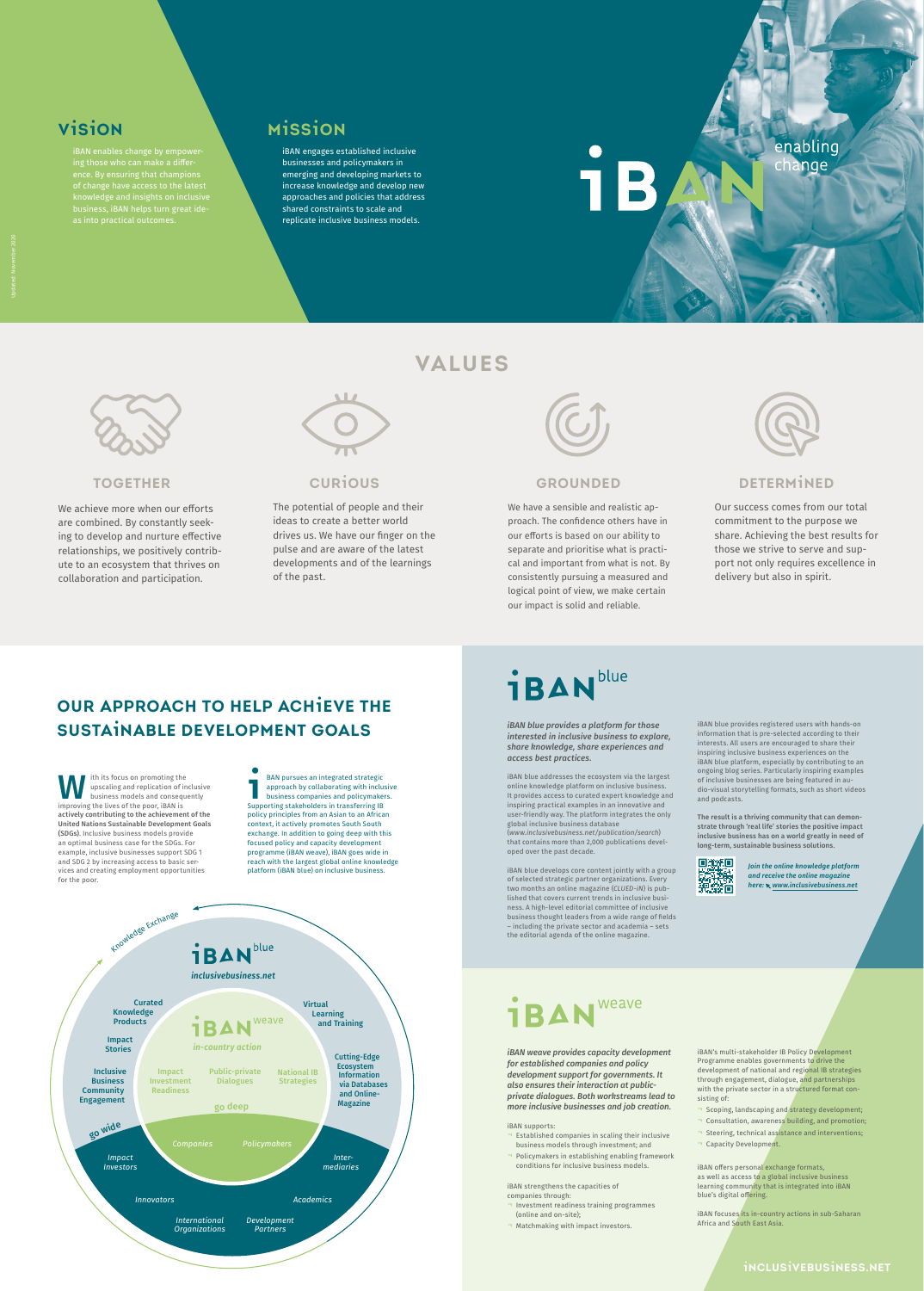

## **TOGETHER**

We achieve more when our efforts are combined. By constantly seeking to develop and nurture effective relationships, we positively contribute to an ecosystem that thrives on collaboration and participation.



**VALUES**

## **GROUNDED**

We have a sensible and realistic approach. The confidence others have in our efforts is based on our ability to separate and prioritise what is practical and important from what is not. By consistently pursuing a measured and logical point of view, we make certain our impact is solid and reliable.



## **CURIOUS**

The potential of people and their ideas to create a better world drives us. We have our finger on the pulse and are aware of the latest developments and of the learnings of the past.



## **DETERMINED**

Our success comes from our total commitment to the purpose we share. Achieving the best results for those we strive to serve and support not only requires excellence in delivery but also in spirit.



## **VISION**

iBAN enables change by empowering those who can make a difference. By ensuring that champions of change have access to the latest knowledge and insights on inclusive business, iBAN helps turn great ideas into practical outcomes.

## **MISSION**

iBAN engages established inclusive businesses and policymakers in emerging and developing markets to increase knowledge and develop new approaches and policies that address shared constraints to scale and replicate inclusive business models.

enabling change

*iBAN blue provides a platform for those interested in inclusive business to explore, share knowledge, share experiences and access best practices.*

iBAN blue addresses the ecosystem via the largest online knowledge platform on inclusive business. It provides access to curated expert knowledge and inspiring practical examples in an innovative and user-friendly way. The platform integrates the only global inclusive business database (*www.inclusivebusiness.net/publication/search*) that contains more than 2,000 publications developed over the past decade.

iBAN blue develops core content jointly with a group of selected strategic partner organizations. Every two months an online magazine (*CLUED-iN*) is published that covers current trends in inclusive business. A high-level editorial committee of inclusive business thought leaders from a wide range of fields – including the private sector and academia – sets the editorial agenda of the online magazine.

iBAN blue provides registered users with hands-on information that is pre-selected according to their interests. All users are encouraged to share their inspiring inclusive business experiences on the iBAN blue platform, especially by contributing to an ongoing blog series. Particularly inspiring examples of inclusive businesses are being featured in audio-visual storytelling formats, such as short videos and podcasts.

ith its focus on promoting the<br>upscaling and replication of inclusive<br>business models and consequently improving the lives of the poor, iBAN is actively contributing to the achievement of the United Nations Sustainable Development Goals (SDGs). Inclusive business models provide an optimal business case for the SDGs. For example, inclusive businesses support SDG 1 and SDG 2 by increasing access to basic services and creating employment opportunities for the poor.

The result is a thriving community that can demonstrate through 'real life' stories the positive impact inclusive business has on a world greatly in need of long-term, sustainable business solutions.



*iBAN weave provides capacity development for established companies and policy development support for governments. It also ensures their interaction at publicprivate dialogues. Both workstreams lead to more inclusive businesses and job creation.* 

### iBAN supports:

- ¬ Established companies in scaling their inclusive business models through investment; and
- ¬ Policymakers in establishing enabling framework conditions for inclusive business models.

iBAN strengthens the capacities of companies through:

- ¬ Investment readiness training programmes (online and on-site);
- ¬ Matchmaking with impact investors.

iBAN's multi-stakeholder IB Policy Development Programme enables governments to drive the development of national and regional IB strategies through engagement, dialogue, and partnerships with the private sector in a structured format consisting of:

- ¬ Scoping, landscaping and strategy development;
- ¬ Consultation, awareness building, and promotion;
- ¬ Steering, technical assistance and interventions;
- ¬ Capacity Development.

iBAN offers personal exchange formats, as well as access to a global inclusive business learning community that is integrated into iBAN blue's digital offering.

iBAN focuses its in-country actions in sub-Saharan Africa and South East Asia.

*Join the online knowledge platform and receive the online magazine here: www.inclusivebusiness.net*

## weave **1BAN**

**I** BAN pursues an integrated strategic approach by collaborating with inclusive business companies and policymakers. Supporting stakeholders in transferring IB policy principles from an Asian to an African context, it actively promotes South South exchange. In addition to going deep with this focused policy and capacity development programme (iBAN weave), iBAN goes wide in reach with the largest global online knowledge platform (iBAN blue) on inclusive business.

## **OUR APPROACH TO HELP ACHIEVE THE SUSTAINABLE DEVELOPMENT GOALS**